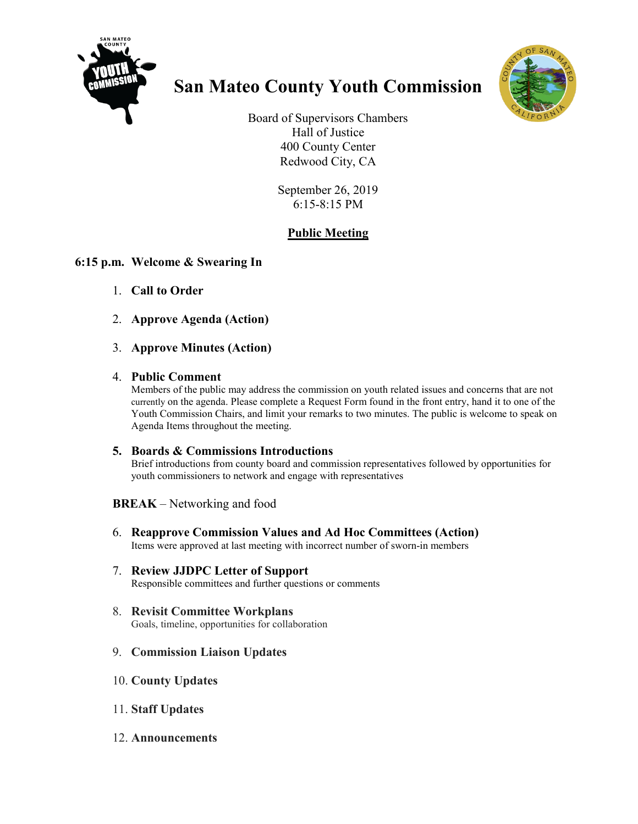

# **San Mateo County Youth Commission**



Board of Supervisors Chambers Hall of Justice 400 County Center Redwood City, CA

> September 26, 2019 6:15-8:15 PM

## **Public Meeting**

### **6:15 p.m. Welcome & Swearing In**

- 1. **Call to Order**
- 2. **Approve Agenda (Action)**
- 3. **Approve Minutes (Action)**

#### 4. **Public Comment**

Members of the public may address the commission on youth related issues and concerns that are not currently on the agenda. Please complete a Request Form found in the front entry, hand it to one of the Youth Commission Chairs, and limit your remarks to two minutes. The public is welcome to speak on Agenda Items throughout the meeting.

#### **5. Boards & Commissions Introductions**

Brief introductions from county board and commission representatives followed by opportunities for youth commissioners to network and engage with representatives

**BREAK** – Networking and food

- 6. **Reapprove Commission Values and Ad Hoc Committees (Action)** Items were approved at last meeting with incorrect number of sworn-in members
- 7. **Review JJDPC Letter of Support** Responsible committees and further questions or comments
- 8. **Revisit Committee Workplans** Goals, timeline, opportunities for collaboration
- 9. **Commission Liaison Updates**
- 10. **County Updates**
- 11. **Staff Updates**
- 12. **Announcements**